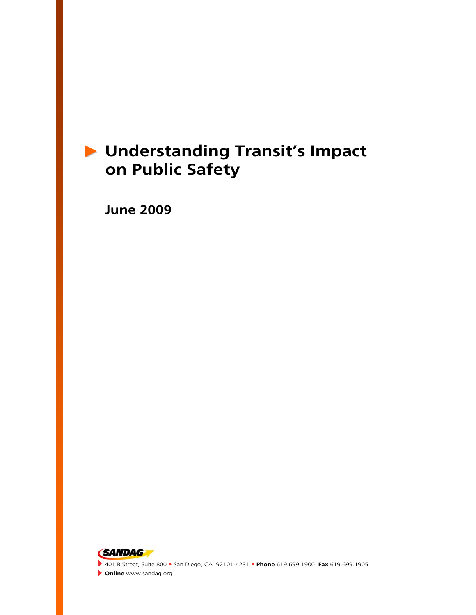# X **Understanding Transit's Impact on Public Safety**

 **June 2009** 

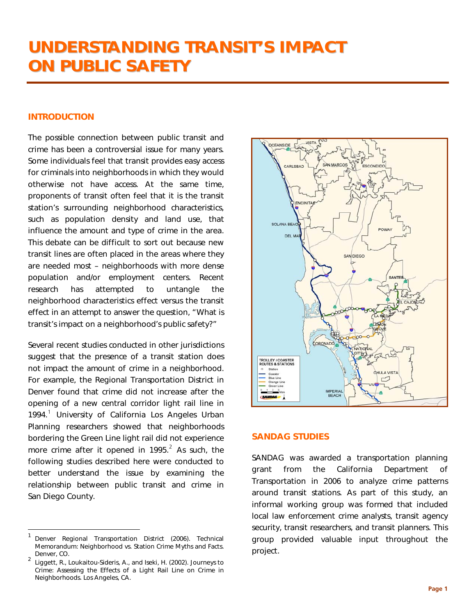### INTRODUCTION

The possible connection between public transit and crime has been a controversial issue for many years. Some individuals feel that transit provides easy access for criminals into neighborhoods in which they would otherwise not have access. At the same time, proponents of transit often feel that it is the transit station's surrounding neighborhood characteristics, such as population density and land use, that influence the amount and type of crime in the area. This debate can be difficult to sort out because new transit lines are often placed in the areas where they are needed most – neighborhoods with more dense population and/or employment centers. Recent research has attempted to untangle the neighborhood characteristics effect versus the transit effect in an attempt to answer the question, "What is transit's impact on a neighborhood's public safety?"

Several recent studies conducted in other jurisdictions suggest that the presence of a transit station does not impact the amount of crime in a neighborhood. For example, the Regional Transportation District in Denver found that crime did not increase after the opening of a new central corridor light rail line in [1](#page-2-0)994.<sup>1</sup> University of California Los Angeles Urban Planning researchers showed that neighborhoods bordering the Green Line light rail did not experience more crime after it opened in 1995. $^2$  $^2$  As such, the following studies described here were conducted to better understand the issue by examining the relationship between public transit and crime in San Diego County.

-



#### SANDAG STUDIES

SANDAG was awarded a transportation planning grant from the California Department of Transportation in 2006 to analyze crime patterns around transit stations. As part of this study, an informal working group was formed that included local law enforcement crime analysts, transit agency security, transit researchers, and transit planners. This group provided valuable input throughout the project.

<span id="page-2-0"></span><sup>1</sup> Denver Regional Transportation District (2006). Technical Memorandum: *Neighborhood vs. Station Crime Myths and Facts.* Denver, CO.

<span id="page-2-1"></span><sup>2</sup> Liggett, R., Loukaitou-Sideris, A., and Iseki, H. (2002). *Journeys to Crime: Assessing the Effects of a Light Rail Line on Crime in Neighborhoods.* Los Angeles, CA.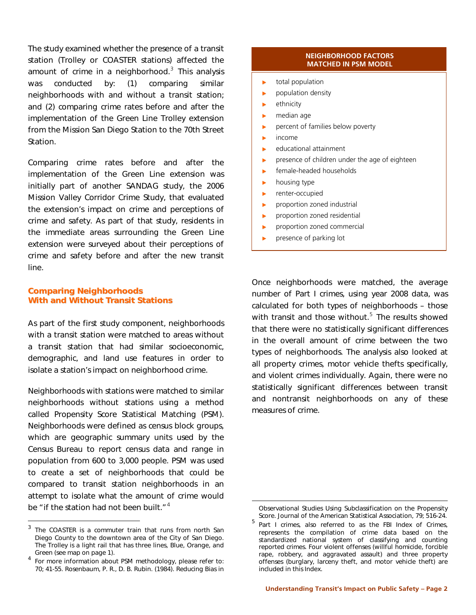The study examined whether the presence of a transit station (Trolley or COASTER stations) affected the amount of crime in a neighborhood.<sup>[3](#page-3-0)</sup> This analysis was conducted by: (1) comparing similar neighborhoods with and without a transit station; and (2) comparing crime rates before and after the implementation of the Green Line Trolley extension from the Mission San Diego Station to the 70th Street Station.

Comparing crime rates before and after the implementation of the Green Line extension was initially part of another SANDAG study, the 2006 Mission Valley Corridor Crime Study, that evaluated the extension's impact on crime and perceptions of crime and safety. As part of that study, residents in the immediate areas surrounding the Green Line extension were surveyed about their perceptions of crime and safety before and after the new transit line.

#### Comparing Neighborhoods With and Without Transit Stations

As part of the first study component, neighborhoods with a transit station were matched to areas without a transit station that had similar socioeconomic, demographic, and land use features in order to isolate a station's impact on neighborhood crime.

Neighborhoods with stations were matched to similar neighborhoods without stations using a method called Propensity Score Statistical Matching (PSM). Neighborhoods were defined as census block groups, which are geographic summary units used by the Census Bureau to report census data and range in population from 600 to 3,000 people. PSM was used to create a set of neighborhoods that could be compared to transit station neighborhoods in an attempt to isolate what the amount of crime would be "if the station had not been built." $4$ 

-

#### **NEIGHBORHOOD FACTORS MATCHED IN PSM MODEL**

- $\blacktriangleright$  total population
- $\blacktriangleright$  population density
- $\blacktriangleright$  ethnicity
- $\blacktriangleright$  median age
- $\blacktriangleright$  percent of families below poverty
- $\blacktriangleright$  income
- $\blacktriangleright$  educational attainment
- $\triangleright$  presence of children under the age of eighteen
- $\mathbf{r}$ female-headed households
- $\blacktriangleright$  housing type
- $\blacktriangleright$  renter-occupied
- $\blacktriangleright$  proportion zoned industrial
- $\blacktriangleright$  proportion zoned residential
- $\blacktriangleright$  proportion zoned commercial
- $\blacktriangleright$  presence of parking lot

Once neighborhoods were matched, the average number of Part I crimes, using year 2008 data, was calculated for both types of neighborhoods – those with transit and those without.<sup>[5](#page-3-2)</sup> The results showed that there were no statistically significant differences in the overall amount of crime between the two types of neighborhoods. The analysis also looked at all property crimes, motor vehicle thefts specifically, and violent crimes individually. Again, there were no statistically significant differences between transit and nontransit neighborhoods on any of these measures of crime.

<span id="page-3-2"></span><span id="page-3-0"></span> $3$  The COASTER is a commuter train that runs from north San Diego County to the downtown area of the City of San Diego. The Trolley is a light rail that has three lines, Blue, Orange, and Green (see map on page 1).

<span id="page-3-1"></span><sup>4</sup> For more information about PSM methodology, please refer to: 70; 41-55. Rosenbaum, P. R., D. B. Rubin. (1984). Reducing Bias in

Observational Studies Using Subclassification on the Propensity Score. *Journal of the American Statistical Association*, 79; 516-24.

 $5$  Part I crimes, also referred to as the FBI Index of Crimes, represents the compilation of crime data based on the standardized national system of classifying and counting reported crimes. Four violent offenses (willful homicide, forcible rape, robbery, and aggravated assault) and three property offenses (burglary, larceny theft, and motor vehicle theft) are included in this Index.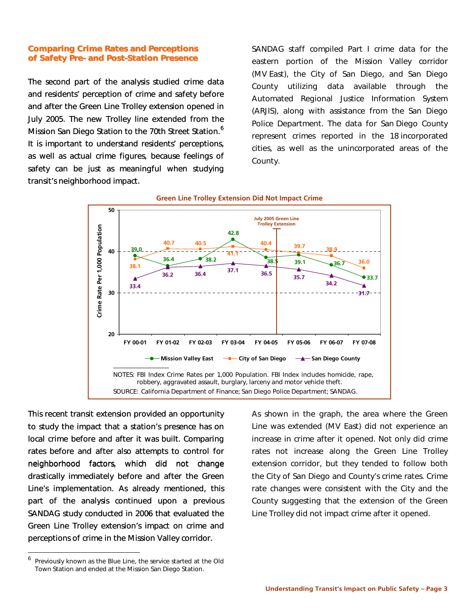#### Comparing Crime Rates and Perceptions<br>of Safety Pre- and Post-Station Presence of Safety Pre- and Post-Station Presence

The second part of the analysis studied crime data and residents' perception of crime and safety before and after the Green Line Trolley extension opened in July 2005. The new Trolley line extended from the Mission San Diego Station to the 70th Street Station.<sup>6</sup> It is important to understand residents' perceptions, as well as actual crime figures, because feelings of safety can be just as meaningful when studying transit's neighborhood impact.

SANDAG staff compiled Part I crime data for the eastern portion of the Mission Valley corridor (MV East), the City of San Diego, and San Diego County utilizing data available through the Automated Regional Justice Information System (ARJIS), along with assistance from the San Diego Police Department. The data for San Diego County represent crimes reported in the 18 incorporated cities, as well as the unincorporated areas of the County.



#### **Green Line Trolley Extension Did Not Impact Crime**

This recent transit extension provided an opportunity to study the impact that a station's presence has on local crime before and after it was built. Comparing rates before and after also attempts to control for neighborhood factors, which did not change drastically immediately before and after the Green Line's implementation. As already mentioned, this part of the analysis continued upon a previous SANDAG study conducted in 2006 that evaluated the Green Line Trolley extension's impact on crime and perceptions of crime in the Mission Valley corridor.

As shown in the graph, the area where the Green Line was extended (MV East) did not experience an increase in crime after it opened. Not only did crime rates not increase along the Green Line Trolley extension corridor, but they tended to follow both the City of San Diego and County's crime rates. Crime rate changes were consistent with the City and the County suggesting that the extension of the Green Line Trolley did not impact crime after it opened.

<span id="page-4-0"></span> $6$  Previously known as the Blue Line, the service started at the Old Town Station and ended at the Mission San Diego Station.